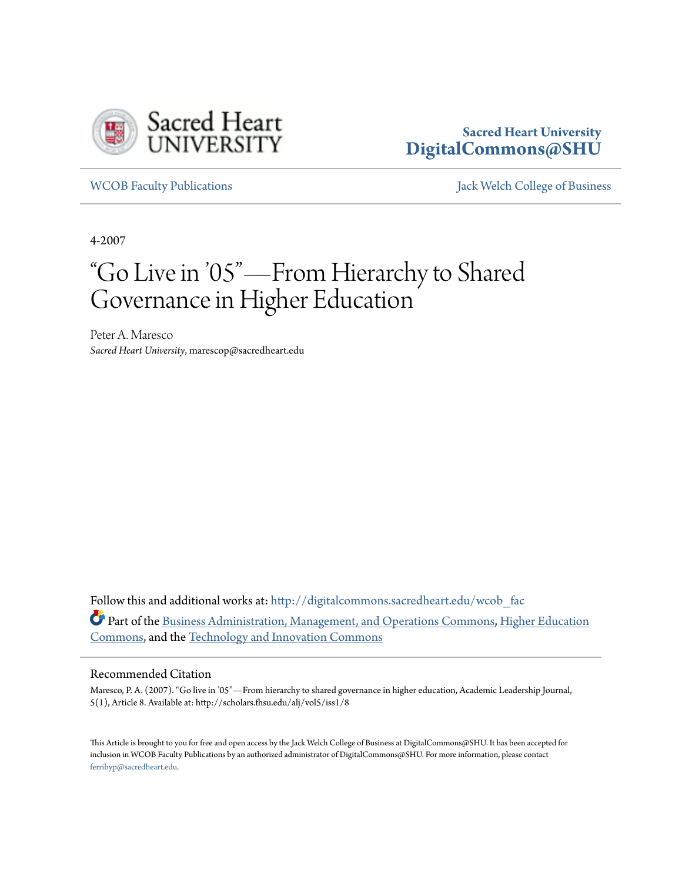

**Sacred Heart University [DigitalCommons@SHU](http://digitalcommons.sacredheart.edu?utm_source=digitalcommons.sacredheart.edu%2Fwcob_fac%2F449&utm_medium=PDF&utm_campaign=PDFCoverPages)**

[WCOB Faculty Publications](http://digitalcommons.sacredheart.edu/wcob_fac?utm_source=digitalcommons.sacredheart.edu%2Fwcob_fac%2F449&utm_medium=PDF&utm_campaign=PDFCoverPages) [Jack Welch College of Business](http://digitalcommons.sacredheart.edu/wcob?utm_source=digitalcommons.sacredheart.edu%2Fwcob_fac%2F449&utm_medium=PDF&utm_campaign=PDFCoverPages)

4-2007

# "Go Live in '05"—From Hierarchy to Shared Governance in Higher Education

Peter A. Maresco *Sacred Heart University*, marescop@sacredheart.edu

Follow this and additional works at: [http://digitalcommons.sacredheart.edu/wcob\\_fac](http://digitalcommons.sacredheart.edu/wcob_fac?utm_source=digitalcommons.sacredheart.edu%2Fwcob_fac%2F449&utm_medium=PDF&utm_campaign=PDFCoverPages) Part of the [Business Administration, Management, and Operations Commons](http://network.bepress.com/hgg/discipline/623?utm_source=digitalcommons.sacredheart.edu%2Fwcob_fac%2F449&utm_medium=PDF&utm_campaign=PDFCoverPages), [Higher Education](http://network.bepress.com/hgg/discipline/1245?utm_source=digitalcommons.sacredheart.edu%2Fwcob_fac%2F449&utm_medium=PDF&utm_campaign=PDFCoverPages) [Commons,](http://network.bepress.com/hgg/discipline/1245?utm_source=digitalcommons.sacredheart.edu%2Fwcob_fac%2F449&utm_medium=PDF&utm_campaign=PDFCoverPages) and the [Technology and Innovation Commons](http://network.bepress.com/hgg/discipline/644?utm_source=digitalcommons.sacredheart.edu%2Fwcob_fac%2F449&utm_medium=PDF&utm_campaign=PDFCoverPages)

#### Recommended Citation

Maresco, P. A. (2007). "Go live in '05"—From hierarchy to shared governance in higher education, Academic Leadership Journal, 5(1), Article 8. Available at: http://scholars.fhsu.edu/alj/vol5/iss1/8

This Article is brought to you for free and open access by the Jack Welch College of Business at DigitalCommons@SHU. It has been accepted for inclusion in WCOB Faculty Publications by an authorized administrator of DigitalCommons@SHU. For more information, please contact [ferribyp@sacredheart.edu](mailto:ferribyp@sacredheart.edu).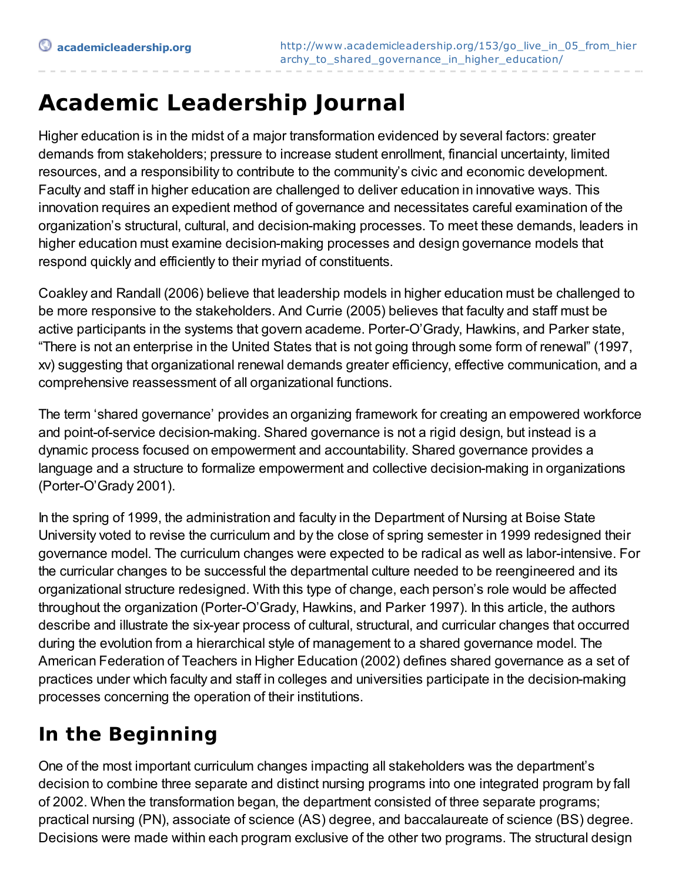# **Academic Leadership Journal**

Higher education is in the midst of a major transformation evidenced by several factors: greater demands from stakeholders; pressure to increase student enrollment, financial uncertainty, limited resources, and a responsibility to contribute to the community's civic and economic development. Faculty and staff in higher education are challenged to deliver education in innovative ways. This innovation requires an expedient method of governance and necessitates careful examination of the organization's structural, cultural, and decision-making processes. To meet these demands, leaders in higher education must examine decision-making processes and design governance models that respond quickly and efficiently to their myriad of constituents.

Coakley and Randall (2006) believe that leadership models in higher education must be challenged to be more responsive to the stakeholders. And Currie (2005) believes that faculty and staff must be active participants in the systems that govern academe. Porter-O'Grady, Hawkins, and Parker state, "There is not an enterprise in the United States that is not going through some form of renewal" (1997, xv) suggesting that organizational renewal demands greater efficiency, effective communication, and a comprehensive reassessment of all organizational functions.

The term 'shared governance' provides an organizing framework for creating an empowered workforce and point-of-service decision-making. Shared governance is not a rigid design, but instead is a dynamic process focused on empowerment and accountability. Shared governance provides a language and a structure to formalize empowerment and collective decision-making in organizations (Porter-O'Grady 2001).

In the spring of 1999, the administration and faculty in the Department of Nursing at Boise State University voted to revise the curriculum and by the close of spring semester in 1999 redesigned their governance model. The curriculum changes were expected to be radical as well as labor-intensive. For the curricular changes to be successful the departmental culture needed to be reengineered and its organizational structure redesigned. With this type of change, each person's role would be affected throughout the organization (Porter-O'Grady, Hawkins, and Parker 1997). In this article, the authors describe and illustrate the six-year process of cultural, structural, and curricular changes that occurred during the evolution from a hierarchical style of management to a shared governance model. The American Federation of Teachers in Higher Education (2002) defines shared governance as a set of practices under which faculty and staff in colleges and universities participate in the decision-making processes concerning the operation of their institutions.

## **In the Beginning**

One of the most important curriculum changes impacting all stakeholders was the department's decision to combine three separate and distinct nursing programs into one integrated program by fall of 2002. When the transformation began, the department consisted of three separate programs; practical nursing (PN), associate of science (AS) degree, and baccalaureate of science (BS) degree. Decisions were made within each program exclusive of the other two programs. The structural design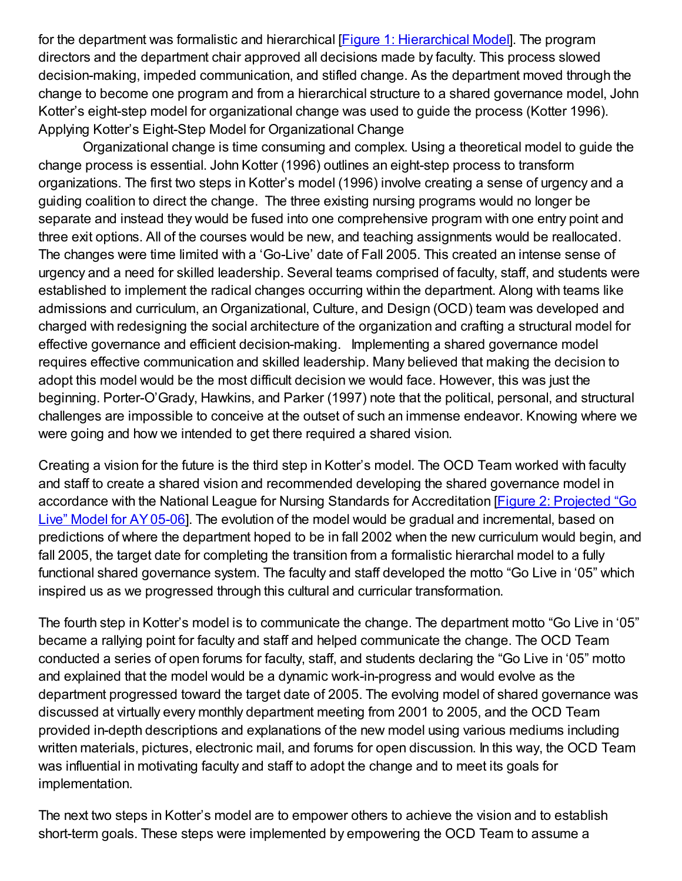for the department was formalistic and hierarchical [Figure 1: [Hierarchical](http://www.academicleadership.org/uploads/Figure_1_Heirarchial_Model_AY_99-00.JPG) Model]. The program directors and the department chair approved all decisions made by faculty. This process slowed decision-making, impeded communication, and stifled change. As the department moved through the change to become one program and from a hierarchical structure to a shared governance model, John Kotter's eight-step model for organizational change was used to guide the process (Kotter 1996). Applying Kotter's Eight-Step Model for Organizational Change

Organizational change is time consuming and complex. Using a theoretical model to guide the change process is essential. John Kotter (1996) outlines an eight-step process to transform organizations. The first two steps in Kotter's model (1996) involve creating a sense of urgency and a guiding coalition to direct the change. The three existing nursing programs would no longer be separate and instead they would be fused into one comprehensive program with one entry point and three exit options. All of the courses would be new, and teaching assignments would be reallocated. The changes were time limited with a 'Go-Live' date of Fall 2005. This created an intense sense of urgency and a need for skilled leadership. Several teams comprised of faculty, staff, and students were established to implement the radical changes occurring within the department. Along with teams like admissions and curriculum, an Organizational, Culture, and Design (OCD) team was developed and charged with redesigning the social architecture of the organization and crafting a structural model for effective governance and efficient decision-making. Implementing a shared governance model requires effective communication and skilled leadership. Many believed that making the decision to adopt this model would be the most difficult decision we would face. However, this was just the beginning. Porter-O'Grady, Hawkins, and Parker (1997) note that the political, personal, and structural challenges are impossible to conceive at the outset of such an immense endeavor. Knowing where we were going and how we intended to get there required a shared vision.

Creating a vision for the future is the third step in Kotter's model. The OCD Team worked with faculty and staff to create a shared vision and recommended developing the shared governance model in accordance with the National League for Nursing Standards for [Accreditation](http://www.academicleadership.org/uploads/Figure_2_Projected_Go_Live_Model_for_AY_05-06.JPG) [Figure 2: Projected "Go Live" Model for AY05-06]. The evolution of the model would be gradual and incremental, based on predictions of where the department hoped to be in fall 2002 when the new curriculum would begin, and fall 2005, the target date for completing the transition from a formalistic hierarchal model to a fully functional shared governance system. The faculty and staff developed the motto "Go Live in '05" which inspired us as we progressed through this cultural and curricular transformation.

The fourth step in Kotter's model is to communicate the change. The department motto "Go Live in '05" became a rallying point for faculty and staff and helped communicate the change. The OCD Team conducted a series of open forums for faculty, staff, and students declaring the "Go Live in '05" motto and explained that the model would be a dynamic work-in-progress and would evolve as the department progressed toward the target date of 2005. The evolving model of shared governance was discussed at virtually every monthly department meeting from 2001 to 2005, and the OCD Team provided in-depth descriptions and explanations of the new model using various mediums including written materials, pictures, electronic mail, and forums for open discussion. In this way, the OCD Team was influential in motivating faculty and staff to adopt the change and to meet its goals for implementation.

The next two steps in Kotter's model are to empower others to achieve the vision and to establish short-term goals. These steps were implemented by empowering the OCD Team to assume a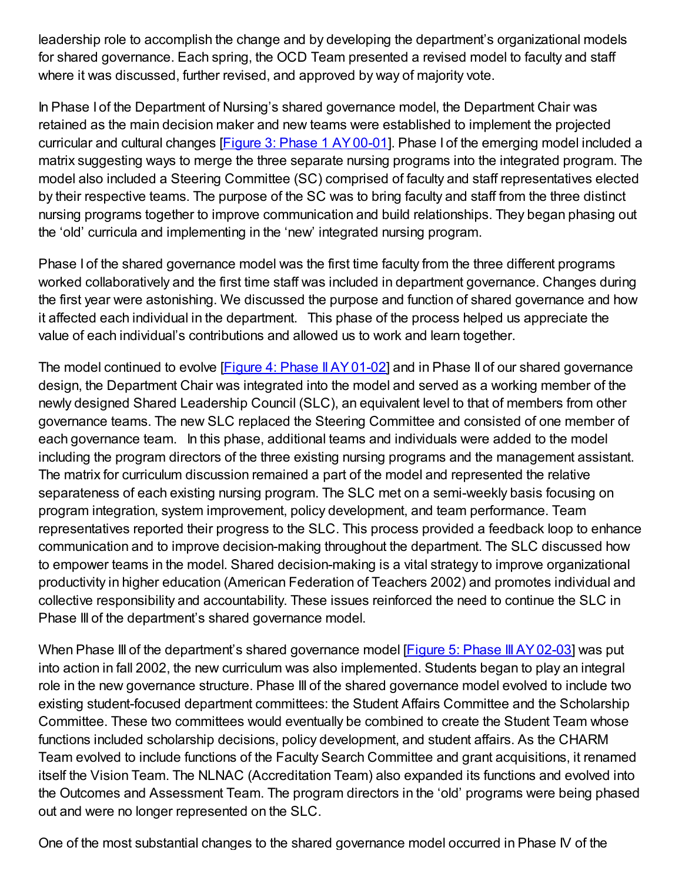leadership role to accomplish the change and by developing the department's organizational models for shared governance. Each spring, the OCD Team presented a revised model to faculty and staff where it was discussed, further revised, and approved by way of majority vote.

In Phase I of the Department of Nursing's shared governance model, the Department Chair was retained as the main decision maker and new teams were established to implement the projected curricular and cultural changes [Figure 3: Phase 1 [AY00-01](http://www.academicleadership.org/uploads/Figure_3_Phase_I_AY_00-01.JPG)]. Phase I of the emerging model included a matrix suggesting ways to merge the three separate nursing programs into the integrated program. The model also included a Steering Committee (SC) comprised of faculty and staff representatives elected by their respective teams. The purpose of the SC was to bring faculty and staff from the three distinct nursing programs together to improve communication and build relationships. They began phasing out the 'old' curricula and implementing in the 'new' integrated nursing program.

Phase I of the shared governance model was the first time faculty from the three different programs worked collaboratively and the first time staff was included in department governance. Changes during the first year were astonishing. We discussed the purpose and function of shared governance and how it affected each individual in the department. This phase of the process helped us appreciate the value of each individual's contributions and allowed us to work and learn together.

The model continued to evolve [Figure 4: Phase II AY 01-02] and in Phase II of our shared governance design, the Department Chair was integrated into the model and served as a working member of the newly designed Shared Leadership Council (SLC), an equivalent level to that of members from other governance teams. The new SLC replaced the Steering Committee and consisted of one member of each governance team. In this phase, additional teams and individuals were added to the model including the program directors of the three existing nursing programs and the management assistant. The matrix for curriculum discussion remained a part of the model and represented the relative separateness of each existing nursing program. The SLC met on a semi-weekly basis focusing on program integration, system improvement, policy development, and team performance. Team representatives reported their progress to the SLC. This process provided a feedback loop to enhance communication and to improve decision-making throughout the department. The SLC discussed how to empower teams in the model. Shared decision-making is a vital strategy to improve organizational productivity in higher education (American Federation of Teachers 2002) and promotes individual and collective responsibility and accountability. These issues reinforced the need to continue the SLC in Phase III of the department's shared governance model.

When Phase III of the department's shared governance model [Figure 5: Phase III AY02-03] was put into action in fall 2002, the new curriculum was also implemented. Students began to play an integral role in the new governance structure. Phase III of the shared governance model evolved to include two existing student-focused department committees: the Student Affairs Committee and the Scholarship Committee. These two committees would eventually be combined to create the Student Team whose functions included scholarship decisions, policy development, and student affairs. As the CHARM Team evolved to include functions of the Faculty Search Committee and grant acquisitions, it renamed itself the Vision Team. The NLNAC (Accreditation Team) also expanded its functions and evolved into the Outcomes and Assessment Team. The program directors in the 'old' programs were being phased out and were no longer represented on the SLC.

One of the most substantial changes to the shared governance model occurred in Phase IV of the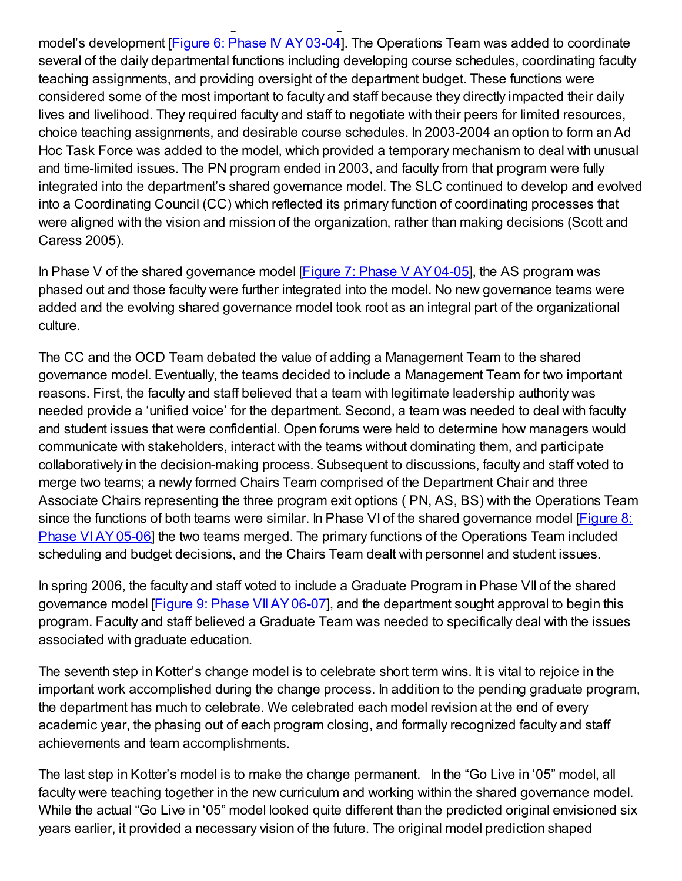model's development [Figure 6: Phase IV [AY03-04](http://www.academicleadership.org/uploads/Figure_6_Phase_IV_AY_03-04.JPG)]. The Operations Team was added to coordinate several of the daily departmental functions including developing course schedules, coordinating faculty teaching assignments, and providing oversight of the department budget. These functions were considered some of the most important to faculty and staff because they directly impacted their daily lives and livelihood. They required faculty and staff to negotiate with their peers for limited resources, choice teaching assignments, and desirable course schedules. In 2003-2004 an option to form an Ad Hoc Task Force was added to the model, which provided a temporary mechanism to deal with unusual and time-limited issues. The PN program ended in 2003, and faculty from that program were fully integrated into the department's shared governance model. The SLC continued to develop and evolved into a Coordinating Council (CC) which reflected its primary function of coordinating processes that were aligned with the vision and mission of the organization, rather than making decisions (Scott and Caress 2005).

One of the most substantial changes to the shared governance model occurred in Phase IV of the

In Phase V of the shared governance model  $[Figure 7: Phase V AY 04-05]$ , the AS program was phased out and those faculty were further integrated into the model. No new governance teams were added and the evolving shared governance model took root as an integral part of the organizational culture.

The CC and the OCD Team debated the value of adding a Management Team to the shared governance model. Eventually, the teams decided to include a Management Team for two important reasons. First, the faculty and staff believed that a team with legitimate leadership authority was needed provide a 'unified voice' for the department. Second, a team was needed to deal with faculty and student issues that were confidential. Open forums were held to determine how managers would communicate with stakeholders, interact with the teams without dominating them, and participate collaboratively in the decision-making process. Subsequent to discussions, faculty and staff voted to merge two teams; a newly formed Chairs Team comprised of the Department Chair and three Associate Chairs representing the three program exit options ( PN, AS, BS) with the Operations Team since the functions of both teams were similar. In Phase VI of the shared governance model [Figure 8: Phase [VIAY05-06\]](http://www.academicleadership.org/uploads/Figure_8_Phase_VI_AY_05-06.JPG) the two teams merged. The primary functions of the Operations Team included scheduling and budget decisions, and the Chairs Team dealt with personnel and student issues.

In spring 2006, the faculty and staff voted to include a Graduate Program in Phase VII of the shared governance model **[Figure 9: Phase VII AY 06-07]**, and the department sought approval to begin this program. Faculty and staff believed a Graduate Team was needed to specifically deal with the issues associated with graduate education.

The seventh step in Kotter's change model is to celebrate short term wins. It is vital to rejoice in the important work accomplished during the change process. In addition to the pending graduate program, the department has much to celebrate. We celebrated each model revision at the end of every academic year, the phasing out of each program closing, and formally recognized faculty and staff achievements and team accomplishments.

The last step in Kotter's model is to make the change permanent. In the "Go Live in '05" model, all faculty were teaching together in the new curriculum and working within the shared governance model. While the actual "Go Live in '05" model looked quite different than the predicted original envisioned six years earlier, it provided a necessary vision of the future. The original model prediction shaped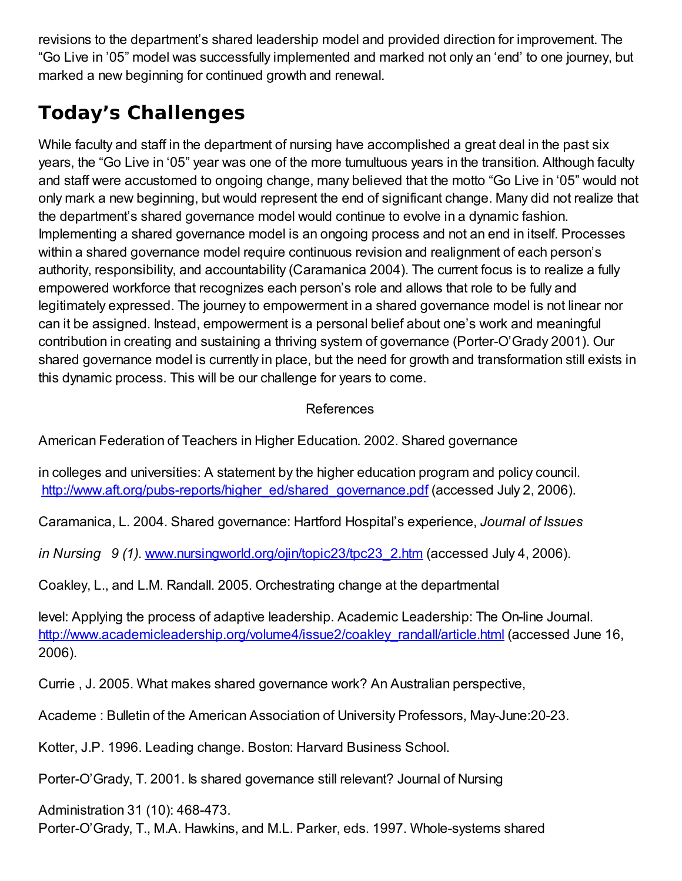revisions to the department's shared leadership model and provided direction for improvement. The "Go Live in '05" model was successfully implemented and marked not only an 'end' to one journey, but marked a new beginning for continued growth and renewal.

## **Today's Challenges**

While faculty and staff in the department of nursing have accomplished a great deal in the past six years, the "Go Live in '05" year was one of the more tumultuous years in the transition. Although faculty and staff were accustomed to ongoing change, many believed that the motto "Go Live in '05" would not only mark a new beginning, but would represent the end of significant change. Many did not realize that the department's shared governance model would continue to evolve in a dynamic fashion. Implementing a shared governance model is an ongoing process and not an end in itself. Processes within a shared governance model require continuous revision and realignment of each person's authority, responsibility, and accountability (Caramanica 2004). The current focus is to realize a fully empowered workforce that recognizes each person's role and allows that role to be fully and legitimately expressed. The journey to empowerment in a shared governance model is not linear nor can it be assigned. Instead, empowerment is a personal belief about one's work and meaningful contribution in creating and sustaining a thriving system of governance (Porter-O'Grady 2001). Our shared governance model is currently in place, but the need for growth and transformation still exists in this dynamic process. This will be our challenge for years to come.

#### References

American Federation of Teachers in Higher Education. 2002. Shared governance

in colleges and universities: A statement by the higher education program and policy council. [http://www.aft.org/pubs-reports/higher\\_ed/shared\\_governance.pdf](http://www.aft.org/pubs-reports/higher_ed/shared_governance.pdf) (accessed July 2, 2006).

Caramanica, L. 2004. Shared governance: Hartford Hospital's experience, *Journal of Issues*

*in Nursing 9 (1).* [www.nursingworld.org/ojin/topic23/tpc23\\_2.htm](http://www.nursingworld.org/ojin/topic23/tpc23_2.htm) (accessed July 4, 2006).

Coakley, L., and L.M. Randall. 2005. Orchestrating change at the departmental

level: Applying the process of adaptive leadership. Academic Leadership: The On-line Journal. [http://www.academicleadership.org/volume4/issue2/coakley\\_randall/article.html](http://www.academicleadership.org/volume4/issue2/coakley_randall/article.html) (accessed June 16, 2006).

Currie , J. 2005. What makes shared governance work? An Australian perspective,

Academe : Bulletin of the American Association of University Professors, May-June:20-23.

Kotter, J.P. 1996. Leading change. Boston: Harvard Business School.

Porter-O'Grady, T. 2001. Is shared governance still relevant? Journal of Nursing

Administration 31 (10): 468-473.

Porter-O'Grady, T., M.A. Hawkins, and M.L. Parker, eds. 1997. Whole-systems shared